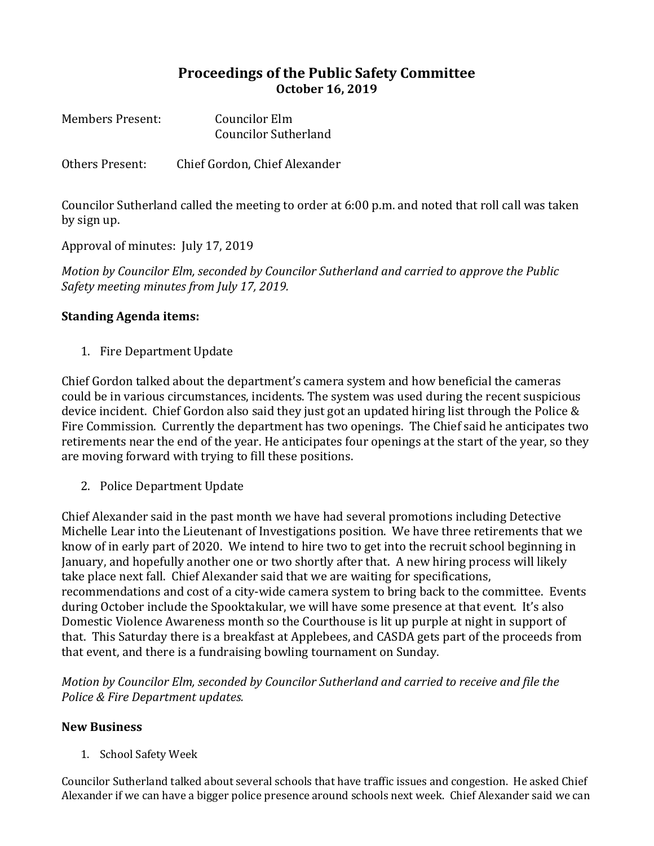## **Proceedings of the Public Safety Committee October 16, 2019**

| <b>Members Present:</b> | Councilor Elm               |
|-------------------------|-----------------------------|
|                         | <b>Councilor Sutherland</b> |

Others Present: Chief Gordon, Chief Alexander

Councilor Sutherland called the meeting to order at 6:00 p.m. and noted that roll call was taken by sign up.

Approval of minutes: July 17, 2019

*Motion by Councilor Elm, seconded by Councilor Sutherland and carried to approve the Public Safety meeting minutes from July 17, 2019.*

## **Standing Agenda items:**

1. Fire Department Update

Chief Gordon talked about the department's camera system and how beneficial the cameras could be in various circumstances, incidents. The system was used during the recent suspicious device incident. Chief Gordon also said they just got an updated hiring list through the Police & Fire Commission. Currently the department has two openings. The Chief said he anticipates two retirements near the end of the year. He anticipates four openings at the start of the year, so they are moving forward with trying to fill these positions.

2. Police Department Update

Chief Alexander said in the past month we have had several promotions including Detective Michelle Lear into the Lieutenant of Investigations position. We have three retirements that we know of in early part of 2020. We intend to hire two to get into the recruit school beginning in January, and hopefully another one or two shortly after that. A new hiring process will likely take place next fall. Chief Alexander said that we are waiting for specifications, recommendations and cost of a city-wide camera system to bring back to the committee. Events during October include the Spooktakular, we will have some presence at that event. It's also Domestic Violence Awareness month so the Courthouse is lit up purple at night in support of that. This Saturday there is a breakfast at Applebees, and CASDA gets part of the proceeds from that event, and there is a fundraising bowling tournament on Sunday.

*Motion by Councilor Elm, seconded by Councilor Sutherland and carried to receive and file the Police & Fire Department updates.* 

## **New Business**

1. School Safety Week

Councilor Sutherland talked about several schools that have traffic issues and congestion. He asked Chief Alexander if we can have a bigger police presence around schools next week. Chief Alexander said we can